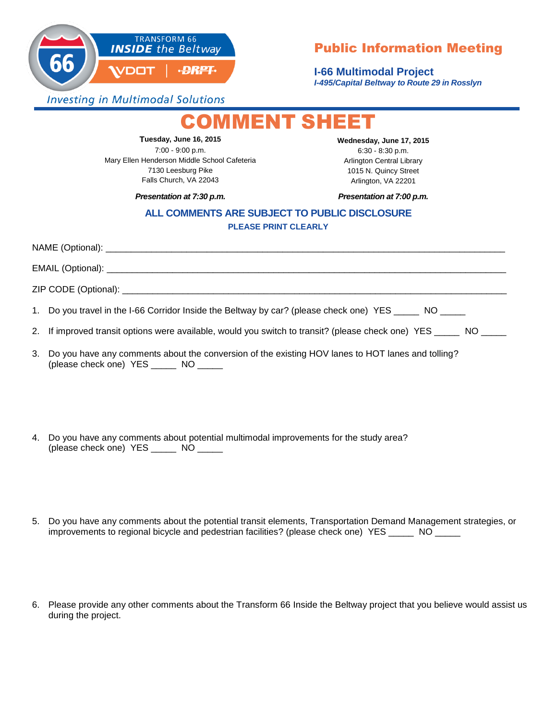

## Public Information Meeting

**I-66 Multimodal Project** *I-495/Capital Beltway to Route 29 in Rosslyn*

**Investing in Multimodal Solutions** 

## **MMENT SHEET**

**Tuesday, June 16, 2015** 7:00 - 9:00 p.m. Mary Ellen Henderson Middle School Cafeteria 7130 Leesburg Pike Falls Church, VA 22043

**Wednesday, June 17, 2015** 6:30 - 8:30 p.m. Arlington Central Library 1015 N. Quincy Street Arlington, VA 22201

Presentation at 7:30 p.m.

*Presentation at 7:30 p.m. Presentation at 7:00 p.m.*

## **ALL COMMENTS ARE SUBJECT TO PUBLIC DISCLOSURE PLEASE PRINT CLEARLY**

NAME (Optional): \_\_\_\_\_\_\_\_\_\_\_\_\_\_\_\_\_\_\_\_\_\_\_\_\_\_\_\_\_\_\_\_\_\_\_\_\_\_\_\_\_\_\_\_\_\_\_\_\_\_\_\_\_\_\_\_\_\_\_\_\_\_\_\_\_\_\_\_\_\_\_\_\_\_\_\_\_\_\_

 $EMAIL$  (Optional):  $\Box$ 

ZIP CODE (Optional): \_\_\_\_\_\_\_\_\_\_\_\_\_\_\_\_\_\_\_\_\_\_\_\_\_\_\_\_\_\_\_\_\_\_\_\_\_\_\_\_\_\_\_\_\_\_\_\_\_\_\_\_\_\_\_\_\_\_\_\_\_\_\_\_\_\_\_\_\_\_\_\_\_\_\_\_

1. Do you travel in the I-66 Corridor Inside the Beltway by car? (please check one) YES \_\_\_\_\_ NO \_\_\_\_\_

2. If improved transit options were available, would you switch to transit? (please check one) YES NO

- 3. Do you have any comments about the conversion of the existing HOV lanes to HOT lanes and tolling? (please check one) YES \_\_\_\_\_ NO \_\_\_\_\_
- 4. Do you have any comments about potential multimodal improvements for the study area? (please check one) YES \_\_\_\_\_ NO \_\_\_\_\_
- 5. Do you have any comments about the potential transit elements, Transportation Demand Management strategies, or improvements to regional bicycle and pedestrian facilities? (please check one) YES \_\_\_\_\_ NO \_\_\_\_\_
- 6. Please provide any other comments about the Transform 66 Inside the Beltway project that you believe would assist us during the project.